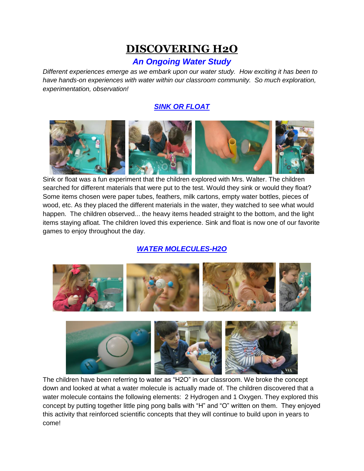# **DISCOVERING H2O**

# *An Ongoing Water Study*

*Different experiences emerge as we embark upon our water study. How exciting it has been to have hands-on experiences with water within our classroom community. So much exploration, experimentation, observation!* 

## *SINK OR FLOAT*



Sink or float was a fun experiment that the children explored with Mrs. Walter. The children searched for different materials that were put to the test. Would they sink or would they float? Some items chosen were paper tubes, feathers, milk cartons, empty water bottles, pieces of wood, etc. As they placed the different materials in the water, they watched to see what would happen. The children observed... the heavy items headed straight to the bottom, and the light items staying afloat. The children loved this experience. Sink and float is now one of our favorite games to enjoy throughout the day.

# *WATER MOLECULES-H2O*



 $\vert$ The children have been referring to water as "H2O" in our classroom. We broke the concept down and looked at what a water molecule is actually made of. The children discovered that a water molecule contains the following elements: 2 Hydrogen and 1 Oxygen. They explored this concept by putting together little ping pong balls with "H" and "O" written on them. They enjoyed this activity that reinforced scientific concepts that they will continue to build upon in years to come!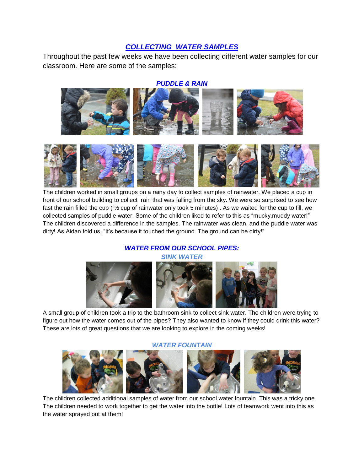### *COLLECTING WATER SAMPLES*

Throughout the past few weeks we have been collecting different water samples for our classroom. Here are some of the samples:

#### *PUDDLE & RAIN*





The children worked in small groups on a rainy day to collect samples of rainwater. We placed a cup in front of our school building to collect rain that was falling from the sky. We were so surprised to see how fast the rain filled the cup ( ½ cup of rainwater only took 5 minutes) . As we waited for the cup to fill, we collected samples of puddle water. Some of the children liked to refer to this as "mucky,muddy water!" The children discovered a difference in the samples. The rainwater was clean, and the puddle water was dirty! As Aidan told us, "It's because it touched the ground. The ground can be dirty!"

# *WATER FROM OUR SCHOOL PIPES:*



A small group of children took a trip to the bathroom sink to collect sink water. The children were trying to figure out how the water comes out of the pipes? They also wanted to know if they could drink this water? These are lots of great questions that we are looking to explore in the coming weeks!

#### *WATER FOUNTAIN*



The children collected additional samples of water from our school water fountain. This was a tricky one. The children needed to work together to get the water into the bottle! Lots of teamwork went into this as the water sprayed out at them!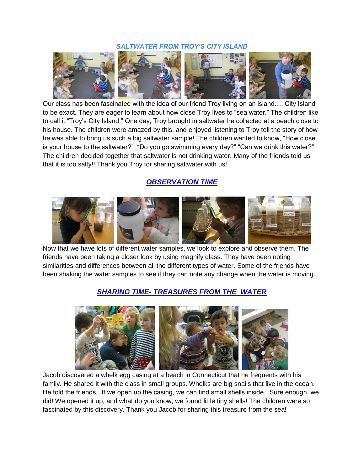#### *SALTWATER FROM TROY'S CITY ISLAND*



Our class has been fascinated with the idea of our friend Troy living on an island…. City Island to be exact. They are eager to learn about how close Troy lives to "sea water." The children like to call it "Troy's City Island." One day, Troy brought in saltwater he collected at a beach close to his house. The children were amazed by this, and enjoyed listening to Troy tell the story of how he was able to bring us such a big saltwater sample! The children wanted to know, "How close is your house to the saltwater?" "Do you go swimming every day?" "Can we drink this water?" The children decided together that saltwater is not drinking water. Many of the friends told us that it is too salty!! Thank you Troy for sharing saltwater with us!

#### *OBSERVATION TIME*



Now that we have lots of different water samples, we look to explore and observe them. The friends have been taking a closer look by using magnify glass. They have been noting similarities and differences between all the different types of water. Some of the friends have been shaking the water samples to see if they can note any change when the water is moving.

### *SHARING TIME- TREASURES FROM THE WATER*



Jacob discovered a whelk egg casing at a beach in Connecticut that he frequents with his family. He shared it with the class in small groups. Whelks are big snails that live in the ocean. He told the friends, "If we open up the casing, we can find small shells inside." Sure enough, we did! We opened it up, and what do you know, we found little tiny shells! The children were so fascinated by this discovery. Thank you Jacob for sharing this treasure from the sea!